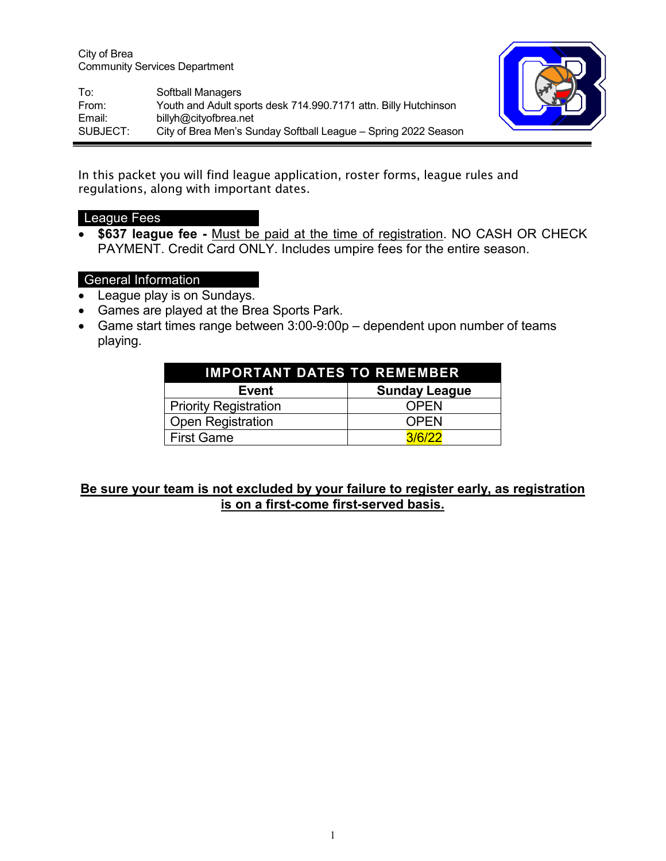City of Brea Community Services Department

To: Softball Managers From: Youth and Adult sports desk 714.990.7171 attn. Billy Hutchinson Email: billyh@cityofbrea.net SUBJECT: City of Brea Men's Sunday Softball League – Spring 2022 Season

In this packet you will find league application, roster forms, league rules and regulations, along with important dates.

## League Fees

• **\$637 league fee -** Must be paid at the time of registration. NO CASH OR CHECK PAYMENT. Credit Card ONLY. Includes umpire fees for the entire season.

## General Information

- League play is on Sundays.
- Games are played at the Brea Sports Park.
- Game start times range between 3:00-9:00p dependent upon number of teams playing.

| <b>IMPORTANT DATES TO REMEMBER</b> |                      |  |  |  |  |
|------------------------------------|----------------------|--|--|--|--|
| <b>Event</b>                       | <b>Sunday League</b> |  |  |  |  |
| <b>Priority Registration</b>       | <b>OPEN</b>          |  |  |  |  |
| <b>Open Registration</b>           | <b>OPEN</b>          |  |  |  |  |
| <b>First Game</b>                  | 3/6/22               |  |  |  |  |

## **Be sure your team is not excluded by your failure to register early, as registration is on a first-come first-served basis.**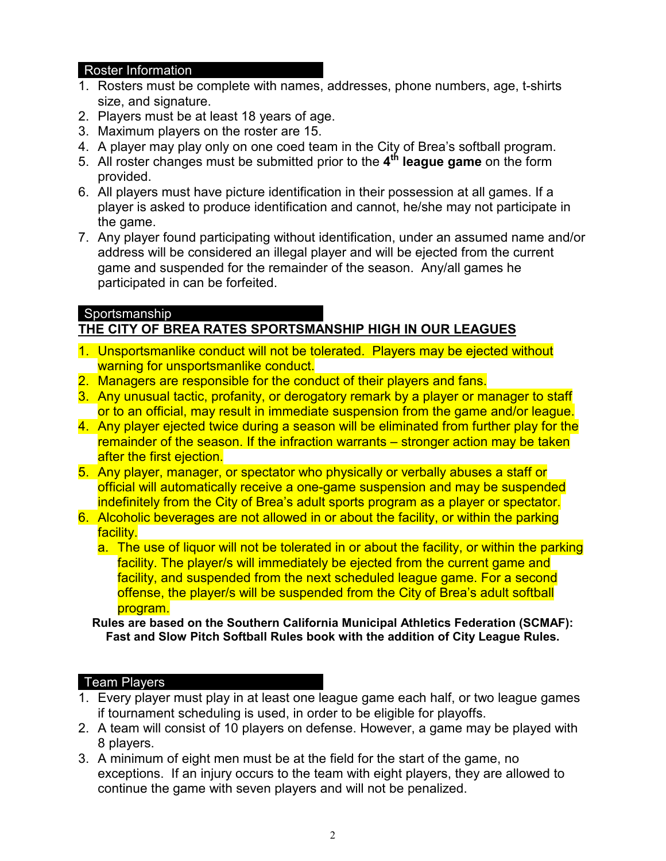#### Roster Information

- 1. Rosters must be complete with names, addresses, phone numbers, age, t-shirts size, and signature.
- 2. Players must be at least 18 years of age.
- 3. Maximum players on the roster are 15.
- 4. A player may play only on one coed team in the City of Brea's softball program.
- 5. All roster changes must be submitted prior to the **4th league game** on the form provided.
- 6. All players must have picture identification in their possession at all games. If a player is asked to produce identification and cannot, he/she may not participate in the game.
- 7. Any player found participating without identification, under an assumed name and/or address will be considered an illegal player and will be ejected from the current game and suspended for the remainder of the season. Any/all games he participated in can be forfeited.

## Sportsmanship **THE CITY OF BREA RATES SPORTSMANSHIP HIGH IN OUR LEAGUES**

- 1. Unsportsmanlike conduct will not be tolerated. Players may be ejected without warning for unsportsmanlike conduct.
- 2. Managers are responsible for the conduct of their players and fans.
- 3. Any unusual tactic, profanity, or derogatory remark by a player or manager to staff or to an official, may result in immediate suspension from the game and/or league.
- 4. Any player ejected twice during a season will be eliminated from further play for the remainder of the season. If the infraction warrants – stronger action may be taken after the first ejection.
- 5. Any player, manager, or spectator who physically or verbally abuses a staff or official will automatically receive a one-game suspension and may be suspended indefinitely from the City of Brea's adult sports program as a player or spectator.
- 6. Alcoholic beverages are not allowed in or about the facility, or within the parking facility.
	- a. The use of liquor will not be tolerated in or about the facility, or within the parking facility. The player/s will immediately be ejected from the current game and facility, and suspended from the next scheduled league game. For a second offense, the player/s will be suspended from the City of Brea's adult softball program.

**Rules are based on the Southern California Municipal Athletics Federation (SCMAF): Fast and Slow Pitch Softball Rules book with the addition of City League Rules.**

# Team Players

- 1. Every player must play in at least one league game each half, or two league games if tournament scheduling is used, in order to be eligible for playoffs.
- 2. A team will consist of 10 players on defense. However, a game may be played with 8 players.
- 3. A minimum of eight men must be at the field for the start of the game, no exceptions. If an injury occurs to the team with eight players, they are allowed to continue the game with seven players and will not be penalized.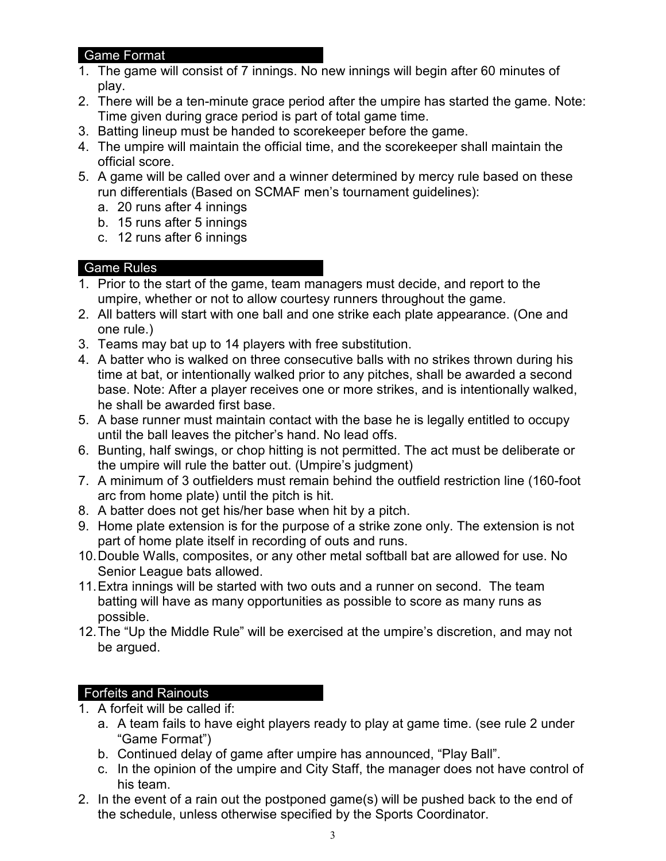#### Game Format

- 1. The game will consist of 7 innings. No new innings will begin after 60 minutes of play.
- 2. There will be a ten-minute grace period after the umpire has started the game. Note: Time given during grace period is part of total game time.
- 3. Batting lineup must be handed to scorekeeper before the game.
- 4. The umpire will maintain the official time, and the scorekeeper shall maintain the official score.
- 5. A game will be called over and a winner determined by mercy rule based on these run differentials (Based on SCMAF men's tournament guidelines):
	- a. 20 runs after 4 innings
	- b. 15 runs after 5 innings
	- c. 12 runs after 6 innings

## Game Rules

- 1. Prior to the start of the game, team managers must decide, and report to the umpire, whether or not to allow courtesy runners throughout the game.
- 2. All batters will start with one ball and one strike each plate appearance. (One and one rule.)
- 3. Teams may bat up to 14 players with free substitution.
- 4. A batter who is walked on three consecutive balls with no strikes thrown during his time at bat, or intentionally walked prior to any pitches, shall be awarded a second base. Note: After a player receives one or more strikes, and is intentionally walked, he shall be awarded first base.
- 5. A base runner must maintain contact with the base he is legally entitled to occupy until the ball leaves the pitcher's hand. No lead offs.
- 6. Bunting, half swings, or chop hitting is not permitted. The act must be deliberate or the umpire will rule the batter out. (Umpire's judgment)
- 7. A minimum of 3 outfielders must remain behind the outfield restriction line (160-foot arc from home plate) until the pitch is hit.
- 8. A batter does not get his/her base when hit by a pitch.
- 9. Home plate extension is for the purpose of a strike zone only. The extension is not part of home plate itself in recording of outs and runs.
- 10.Double Walls, composites, or any other metal softball bat are allowed for use. No Senior League bats allowed.
- 11.Extra innings will be started with two outs and a runner on second. The team batting will have as many opportunities as possible to score as many runs as possible.
- 12.The "Up the Middle Rule" will be exercised at the umpire's discretion, and may not be argued.

# Forfeits and Rainouts

- 1. A forfeit will be called if:
	- a. A team fails to have eight players ready to play at game time. (see rule 2 under "Game Format")
	- b. Continued delay of game after umpire has announced, "Play Ball".
	- c. In the opinion of the umpire and City Staff, the manager does not have control of his team.
- 2. In the event of a rain out the postponed game(s) will be pushed back to the end of the schedule, unless otherwise specified by the Sports Coordinator.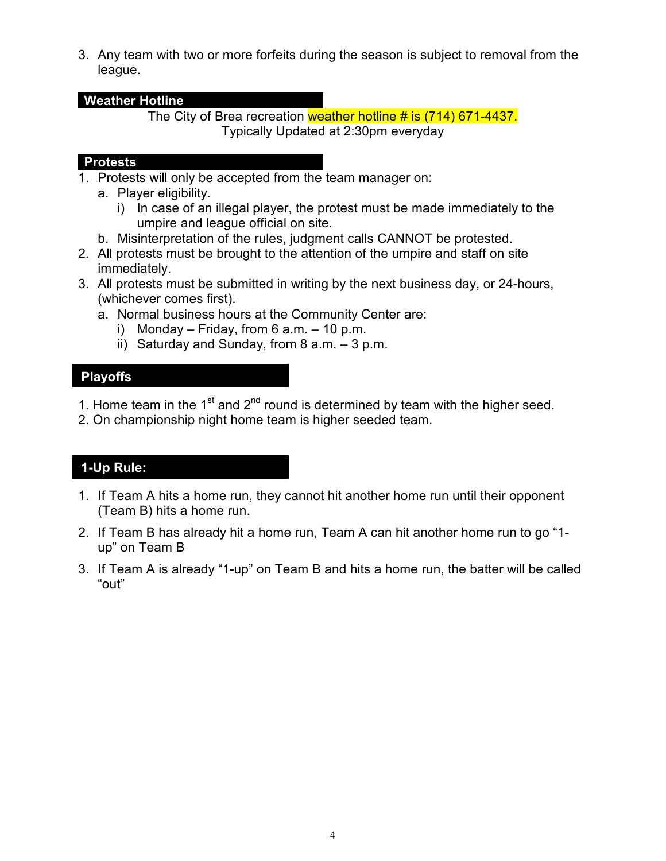3. Any team with two or more forfeits during the season is subject to removal from the league.

#### **Weather Hotline**

The City of Brea recreation weather hotline # is (714) 671-4437. Typically Updated at 2:30pm everyday

#### **Protests**

- 1. Protests will only be accepted from the team manager on:
	- a. Player eligibility.
		- i) In case of an illegal player, the protest must be made immediately to the umpire and league official on site.
	- b. Misinterpretation of the rules, judgment calls CANNOT be protested.
- 2. All protests must be brought to the attention of the umpire and staff on site immediately.
- 3. All protests must be submitted in writing by the next business day, or 24-hours, (whichever comes first).
	- a. Normal business hours at the Community Center are:
		- i) Monday Friday, from 6  $a.m. 10 p.m.$
		- ii) Saturday and Sunday, from  $8$  a.m.  $-3$  p.m.

## **Playoffs**

- 1. Home team in the 1<sup>st</sup> and 2<sup>nd</sup> round is determined by team with the higher seed.
- 2. On championship night home team is higher seeded team.

# **1-Up Rule:**

- 1. If Team A hits a home run, they cannot hit another home run until their opponent (Team B) hits a home run.
- 2. If Team B has already hit a home run, Team A can hit another home run to go "1 up" on Team B
- 3. If Team A is already "1-up" on Team B and hits a home run, the batter will be called "out"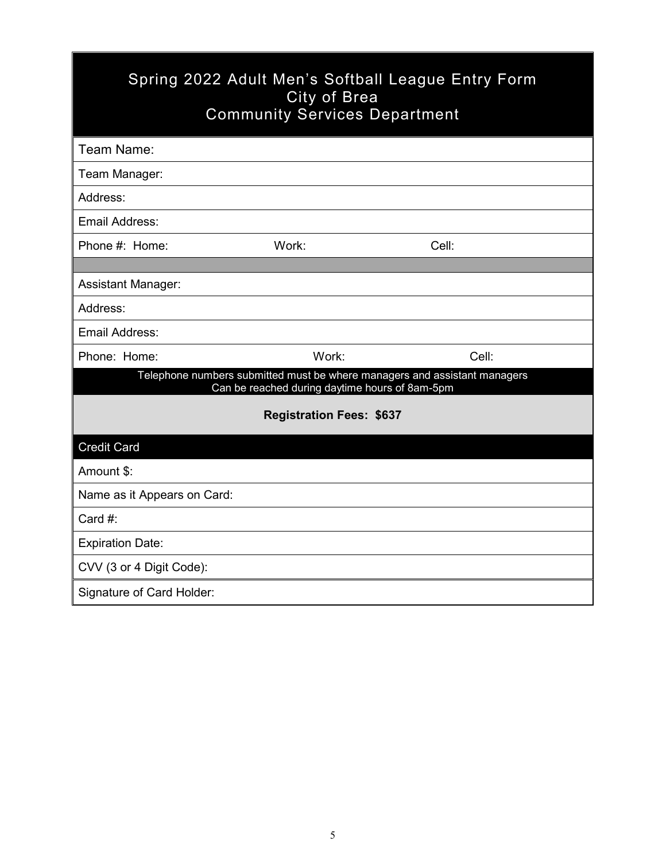| Spring 2022 Adult Men's Softball League Entry Form<br>City of Brea<br><b>Community Services Department</b> |                                                |                                                                           |  |  |  |  |
|------------------------------------------------------------------------------------------------------------|------------------------------------------------|---------------------------------------------------------------------------|--|--|--|--|
| Team Name:                                                                                                 |                                                |                                                                           |  |  |  |  |
| Team Manager:                                                                                              |                                                |                                                                           |  |  |  |  |
| Address:                                                                                                   |                                                |                                                                           |  |  |  |  |
| Email Address:                                                                                             |                                                |                                                                           |  |  |  |  |
| Phone #: Home:                                                                                             | Work:                                          | Cell:                                                                     |  |  |  |  |
|                                                                                                            |                                                |                                                                           |  |  |  |  |
| <b>Assistant Manager:</b>                                                                                  |                                                |                                                                           |  |  |  |  |
| Address:                                                                                                   |                                                |                                                                           |  |  |  |  |
| Email Address:                                                                                             |                                                |                                                                           |  |  |  |  |
| Phone: Home:                                                                                               | Work:                                          | Cell:                                                                     |  |  |  |  |
|                                                                                                            | Can be reached during daytime hours of 8am-5pm | Telephone numbers submitted must be where managers and assistant managers |  |  |  |  |
|                                                                                                            | <b>Registration Fees: \$637</b>                |                                                                           |  |  |  |  |
| <b>Credit Card</b>                                                                                         |                                                |                                                                           |  |  |  |  |
| Amount \$:                                                                                                 |                                                |                                                                           |  |  |  |  |
| Name as it Appears on Card:                                                                                |                                                |                                                                           |  |  |  |  |
| Card #:                                                                                                    |                                                |                                                                           |  |  |  |  |
| <b>Expiration Date:</b>                                                                                    |                                                |                                                                           |  |  |  |  |
| CVV (3 or 4 Digit Code):                                                                                   |                                                |                                                                           |  |  |  |  |
| Signature of Card Holder:                                                                                  |                                                |                                                                           |  |  |  |  |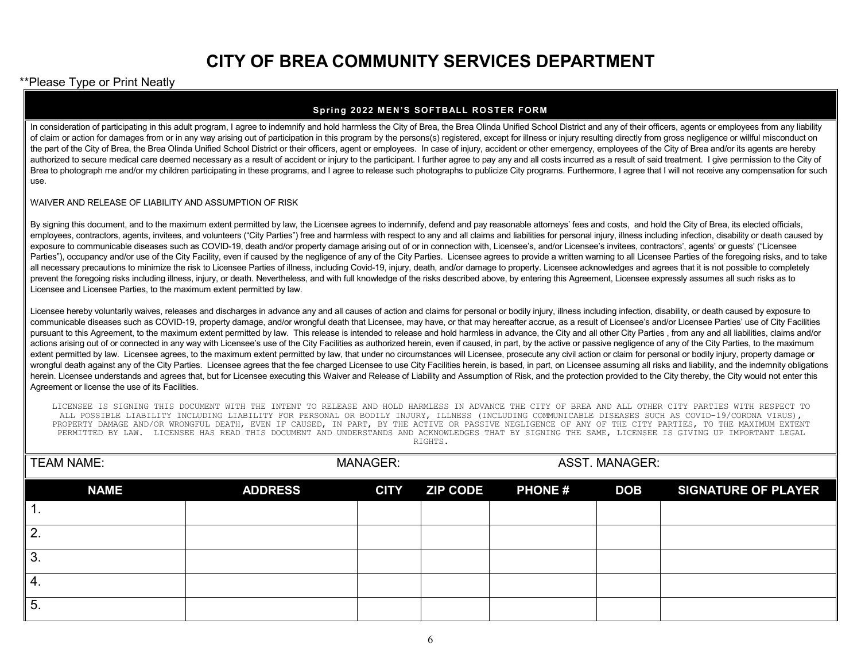# **CITY OF BREA COMMUNITY SERVICES DEPARTMENT**

#### \*\*Please Type or Print Neatly

#### **Spring 2022 MEN'S SOFTBALL ROSTER FORM**

In consideration of participating in this adult program, I agree to indemnify and hold harmless the City of Brea, the Brea Olinda Unified School District and any of their officers, agents or employees from any liability of claim or action for damages from or in any way arising out of participation in this program by the persons(s) registered, except for illness or injury resulting directly from gross negligence or willful misconduct on the part of the City of Brea, the Brea Olinda Unified School District or their officers, agent or employees. In case of injury, accident or other emergency, employees of the City of Brea and/or its agents are hereby authorized to secure medical care deemed necessary as a result of accident or injury to the participant. I further agree to pay any and all costs incurred as a result of said treatment. I give permission to the City of Brea to photograph me and/or my children participating in these programs, and I agree to release such photographs to publicize City programs. Furthermore, I agree that I will not receive any compensation for such use.

#### WAIVER AND RELEASE OF LIABILITY AND ASSUMPTION OF RISK

By signing this document, and to the maximum extent permitted by law, the Licensee agrees to indemnify, defend and pay reasonable attorneys' fees and costs, and hold the City of Brea, its elected officials, employees, contractors, agents, invitees, and volunteers ("City Parties") free and harmless with respect to any and all claims and liabilities for personal injury, illness including infection, disability or death caused by exposure to communicable diseases such as COVID-19, death and/or property damage arising out of or in connection with, Licensee's, and/or Licensee's invitees, contractors', agents' or quests' ("Licensee Parties"), occupancy and/or use of the City Facility, even if caused by the negligence of any of the City Parties. Licensee agrees to provide a written warning to all Licensee Parties of the foregoing risks, and to take all necessary precautions to minimize the risk to Licensee Parties of illness, including Covid-19, injury, death, and/or damage to property. Licensee acknowledges and agrees that it is not possible to completely prevent the foregoing risks including illness, injury, or death. Nevertheless, and with full knowledge of the risks described above, by entering this Agreement, Licensee expressly assumes all such risks as to Licensee and Licensee Parties, to the maximum extent permitted by law.

Licensee hereby voluntarily waives, releases and discharges in advance any and all causes of action and claims for personal or bodily injury, illness including infection, disability, or death caused by exposure to communicable diseases such as COVID-19, property damage, and/or wrongful death that Licensee, may have, or that may hereafter accrue, as a result of Licensee's and/or Licensee Parties' use of City Facilities pursuant to this Agreement, to the maximum extent permitted by law. This release is intended to release and hold harmless in advance, the City and all other City Parties, from any and all liabilities, claims and/or actions arising out of or connected in any way with Licensee's use of the City Facilities as authorized herein, even if caused, in part, by the active or passive negligence of any of the City Parties, to the maximum extent permitted by law. Licensee agrees, to the maximum extent permitted by law, that under no circumstances will Licensee, prosecute any civil action or claim for personal or bodily injury, property damage or wrongful death against any of the City Parties. Licensee agrees that the fee charged Licensee to use City Facilities herein, is based, in part, on Licensee assuming all risks and liability, and the indemnity obligations herein. Licensee understands and agrees that, but for Licensee executing this Waiver and Release of Liability and Assumption of Risk, and the protection provided to the City thereby, the City would not enter this Agreement or license the use of its Facilities.

LICENSEE IS SIGNING THIS DOCUMENT WITH THE INTENT TO RELEASE AND HOLD HARMLESS IN ADVANCE THE CITY OF BREA AND ALL OTHER CITY PARTIES WITH RESPECT TO ALL POSSIBLE LIABILITY INCLUDING LIABILITY FOR PERSONAL OR BODILY INJURY, ILLNESS (INCLUDING COMMUNICABLE DISEASES SUCH AS COVID-19/CORONA VIRUS), PROPERTY DAMAGE AND/OR WRONGFUL DEATH, EVEN IF CAUSED, IN PART, BY THE ACTIVE OR PASSIVE NEGLIGENCE OF ANY OF THE CITY PARTIES, TO THE MAXIMUM EXTENT PERMITTED BY LAW. LICENSEE HAS READ THIS DOCUMENT AND UNDERSTANDS AND ACKNOWLEDGES THAT BY SIGNING THE SAME, LICENSEE IS GIVING UP IMPORTANT LEGAL RIGHTS.

| <b>TEAM NAME:</b> |                | <b>MANAGER:</b> |                 |               | <b>ASST. MANAGER:</b> |                            |
|-------------------|----------------|-----------------|-----------------|---------------|-----------------------|----------------------------|
| <b>NAME</b>       | <b>ADDRESS</b> | <b>CITY</b>     | <b>ZIP CODE</b> | <b>PHONE#</b> | <b>DOB</b>            | <b>SIGNATURE OF PLAYER</b> |
|                   |                |                 |                 |               |                       |                            |
| 2.                |                |                 |                 |               |                       |                            |
| 3.                |                |                 |                 |               |                       |                            |
| 4.                |                |                 |                 |               |                       |                            |
| 5.                |                |                 |                 |               |                       |                            |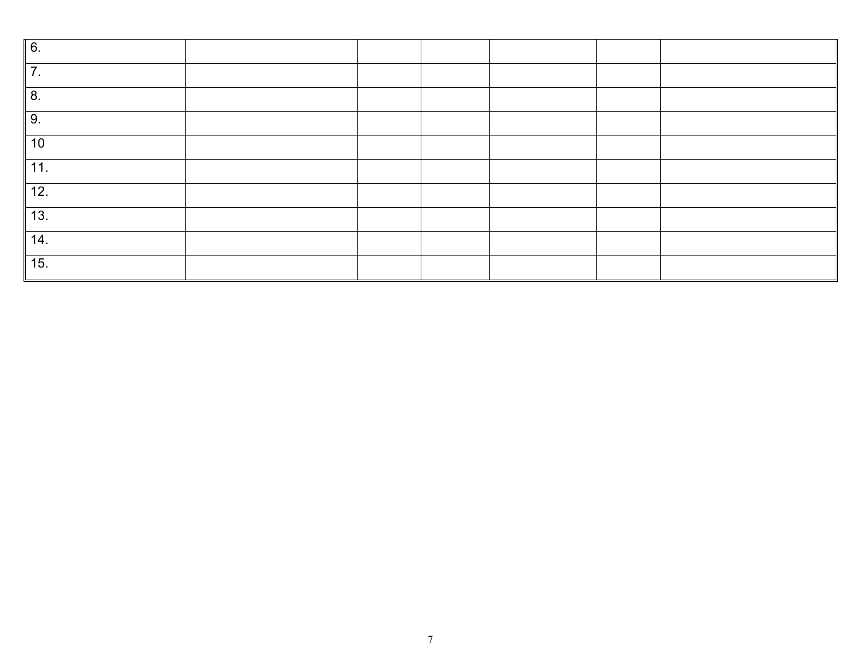| 6.    |  |  |  |
|-------|--|--|--|
| 7.    |  |  |  |
| 8.    |  |  |  |
| 9.    |  |  |  |
| 10    |  |  |  |
| 11.   |  |  |  |
| $12.$ |  |  |  |
| 13.   |  |  |  |
| 14.   |  |  |  |
| 15.   |  |  |  |